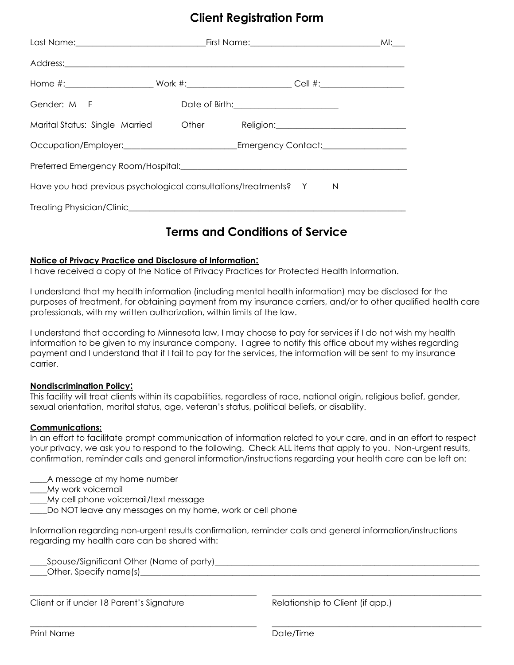### **Client Registration Form**

|                                                                                                                |  |  |                                                | MI: |  |
|----------------------------------------------------------------------------------------------------------------|--|--|------------------------------------------------|-----|--|
| Address: Address:                                                                                              |  |  |                                                |     |  |
|                                                                                                                |  |  |                                                |     |  |
| Gender: M F                                                                                                    |  |  | Date of Birth: <u>________________________</u> |     |  |
| Marital Status: Single Married Other Religion: Charles Religion.                                               |  |  |                                                |     |  |
| Occupation/Employer:_______________________________Emergency Contact:____________                              |  |  |                                                |     |  |
| Preferred Emergency Room/Hospital: Network and the contract of the contract of the contract of the contract of |  |  |                                                |     |  |
| Have you had previous psychological consultations/treatments? Y<br>N                                           |  |  |                                                |     |  |
|                                                                                                                |  |  |                                                |     |  |
|                                                                                                                |  |  |                                                |     |  |

### **Terms and Conditions of Service**

#### **Notice of Privacy Practice and Disclosure of Information:**

I have received a copy of the Notice of Privacy Practices for Protected Health Information.

I understand that my health information (including mental health information) may be disclosed for the purposes of treatment, for obtaining payment from my insurance carriers, and/or to other qualified health care professionals, with my written authorization, within limits of the law.

I understand that according to Minnesota law, I may choose to pay for services if I do not wish my health information to be given to my insurance company. I agree to notify this office about my wishes regarding payment and I understand that if I fail to pay for the services, the information will be sent to my insurance carrier.

#### **Nondiscrimination Policy:**

This facility will treat clients within its capabilities, regardless of race, national origin, religious belief, gender, sexual orientation, marital status, age, veteran's status, political beliefs, or disability.

#### **Communications:**

In an effort to facilitate prompt communication of information related to your care, and in an effort to respect your privacy, we ask you to respond to the following. Check ALL items that apply to you. Non-urgent results, confirmation, reminder calls and general information/instructions regarding your health care can be left on:

- \_\_\_\_A message at my home number
- \_\_\_\_My work voicemail
- \_\_\_\_My cell phone voicemail/text message
- \_\_\_\_Do NOT leave any messages on my home, work or cell phone

Information regarding non-urgent results confirmation, reminder calls and general information/instructions regarding my health care can be shared with:

\_\_\_\_\_\_\_\_\_\_\_\_\_\_\_\_\_\_\_\_\_\_\_\_\_\_\_\_\_\_\_\_\_\_\_\_\_\_\_\_\_\_\_\_\_\_\_\_\_\_\_\_\_\_ \_\_\_\_\_\_\_\_\_\_\_\_\_\_\_\_\_\_\_\_\_\_\_\_\_\_\_\_\_\_\_\_\_\_\_\_\_\_\_\_\_\_\_\_\_\_\_\_\_\_

\_\_\_\_\_\_\_\_\_\_\_\_\_\_\_\_\_\_\_\_\_\_\_\_\_\_\_\_\_\_\_\_\_\_\_\_\_\_\_\_\_\_\_\_\_\_\_\_\_\_\_\_\_\_ \_\_\_\_\_\_\_\_\_\_\_\_\_\_\_\_\_\_\_\_\_\_\_\_\_\_\_\_\_\_\_\_\_\_\_\_\_\_\_\_\_\_\_\_\_\_\_\_\_\_

\_\_\_\_Spouse/Significant Other (Name of party)\_\_\_\_\_\_\_\_\_\_\_\_\_\_\_\_\_\_\_\_\_\_\_\_\_\_\_\_\_\_\_\_\_\_\_\_\_\_\_\_\_\_\_\_\_\_\_\_\_\_\_\_\_\_\_\_\_\_\_\_\_\_\_

 $\Box$  Other, Specify name(s) $\Box$ 

Client or if under 18 Parent's Signature Relationship to Client (if app.)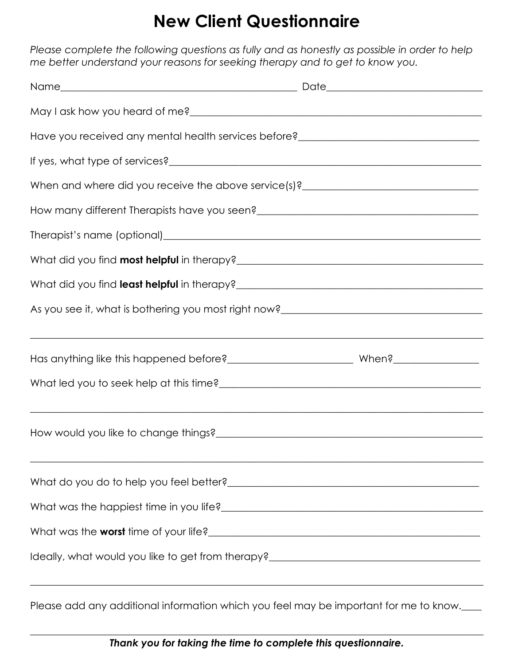## **New Client Questionnaire**

*Please complete the following questions as fully and as honestly as possible in order to help me better understand your reasons for seeking therapy and to get to know you.*

| Have you received any mental health services before?____________________________                                                                                                                                                       |  |  |  |  |
|----------------------------------------------------------------------------------------------------------------------------------------------------------------------------------------------------------------------------------------|--|--|--|--|
|                                                                                                                                                                                                                                        |  |  |  |  |
| When and where did you receive the above service(s)?____________________________                                                                                                                                                       |  |  |  |  |
|                                                                                                                                                                                                                                        |  |  |  |  |
|                                                                                                                                                                                                                                        |  |  |  |  |
|                                                                                                                                                                                                                                        |  |  |  |  |
|                                                                                                                                                                                                                                        |  |  |  |  |
| As you see it, what is bothering you most right now?<br><u>Letting and the manual contract and the manual contract of the manual contract of the manual contract of the manual contract of the manual contract of the manual contr</u> |  |  |  |  |
|                                                                                                                                                                                                                                        |  |  |  |  |
|                                                                                                                                                                                                                                        |  |  |  |  |
|                                                                                                                                                                                                                                        |  |  |  |  |
| <u> 1989 - Johann Harry Harry Harry Harry Harry Harry Harry Harry Harry Harry Harry Harry Harry Harry Harry Harry</u>                                                                                                                  |  |  |  |  |
|                                                                                                                                                                                                                                        |  |  |  |  |
|                                                                                                                                                                                                                                        |  |  |  |  |
|                                                                                                                                                                                                                                        |  |  |  |  |
| What was the happiest time in you life?<br><u> What was the happiest time in you life?</u>                                                                                                                                             |  |  |  |  |
|                                                                                                                                                                                                                                        |  |  |  |  |
|                                                                                                                                                                                                                                        |  |  |  |  |
|                                                                                                                                                                                                                                        |  |  |  |  |

Please add any additional information which you feel may be important for me to know.

 $\_$  , and the set of the set of the set of the set of the set of the set of the set of the set of the set of the set of the set of the set of the set of the set of the set of the set of the set of the set of the set of th *Thank you for taking the time to complete this questionnaire.*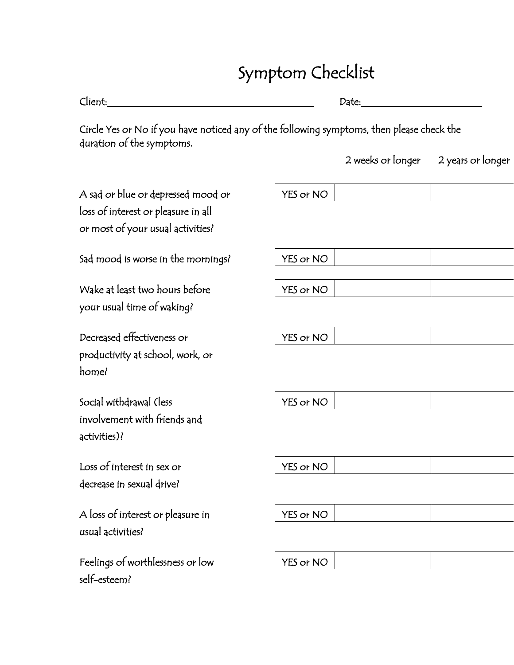# Symptom Checklist

| Client:                                                                                                                | Date:     |                   |                   |
|------------------------------------------------------------------------------------------------------------------------|-----------|-------------------|-------------------|
| Circle Yes or No if you have noticed any of the following symptoms, then please check the<br>duration of the symptoms. |           |                   |                   |
|                                                                                                                        |           | 2 weeks or longer | 2 years or longer |
| A sad or blue or depressed mood or<br>loss of interest or pleasure in all<br>or most of your usual activities?         | YES or NO |                   |                   |
| Sad mood is worse in the mornings?                                                                                     | YES or NO |                   |                   |
| Wake at least two hours before<br>your usual time of waking?                                                           | YES or NO |                   |                   |
| Decreased effectiveness or<br>productivity at school, work, or<br>home?                                                | YES or NO |                   |                   |
| Social withdrawal (less<br>involvement with friends and<br>activities)?                                                | YES or NO |                   |                   |
| Loss of interest in sex or<br>decrease in sexual drive?                                                                | YES or NO |                   |                   |
| A loss of interest or pleasure in<br>usual activities?                                                                 | YES or NO |                   |                   |
| Feelings of worthlessness or low                                                                                       | YES or NO |                   |                   |

self-esteem?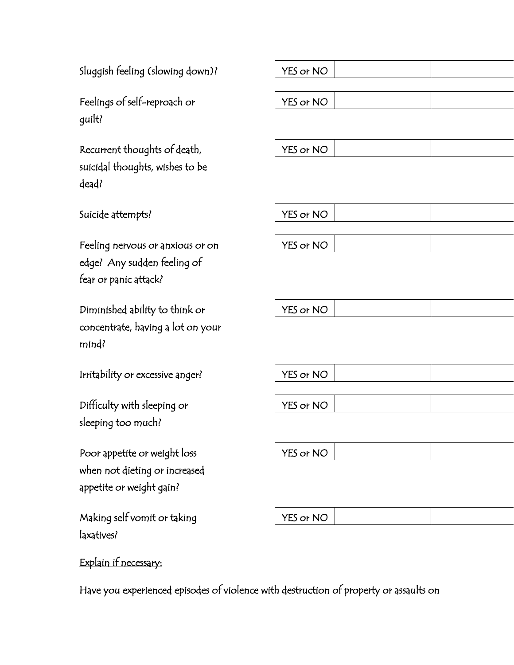Sluggish feeling (slowing down)?  $\sqrt{YS}$  or NO

Feelings of self-reproach or guilt?

Recurrent thoughts of death suicidal thoughts, wishes to be dead?

| own)? | YES or NO |
|-------|-----------|
|       |           |
|       | YES or NO |
|       |           |
|       |           |
| h,    | YES or NO |

Suicide attempts? The Material Suicide attempts?

Feeling nervous or anxious or on YES or NO edge? Any sudden feeling of fear or panic attack?

Diminished ability to think or  $|$  YES or NO concentrate, having a lot on your mind?

Irritability or excessive anger? The MES or NO

Difficulty with sleeping or  $|$  YES or NO sleeping too much?

Poor appetite or weight loss  $\vert$  YES or NO when not dieting or increased appetite or weight gain?

Making self vomit or taking The Second Second VES or NO laxatives?

Explain if necessary:

Have you experienced episodes of violence with destruction of property or assaults on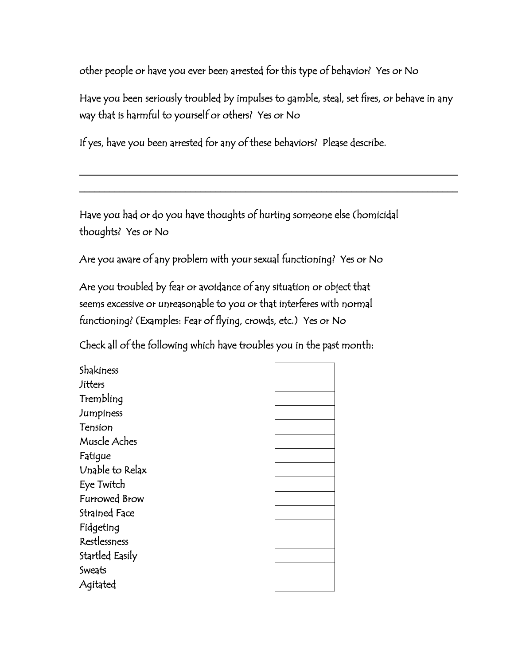other people or have you ever been arrested for this type of behavior? Yes or No

Have you been seriously troubled by impulses to gamble, steal, set fires, or behave in any way that is harmful to yourself or others? Yes or No

\_\_\_\_\_\_\_\_\_\_\_\_\_\_\_\_\_\_\_\_\_\_\_\_\_\_\_\_\_\_\_\_\_\_\_\_\_\_\_\_\_\_\_\_\_\_\_\_\_\_\_\_\_\_\_\_\_\_\_\_\_\_\_\_\_\_\_\_\_\_\_\_\_\_\_

\_\_\_\_\_\_\_\_\_\_\_\_\_\_\_\_\_\_\_\_\_\_\_\_\_\_\_\_\_\_\_\_\_\_\_\_\_\_\_\_\_\_\_\_\_\_\_\_\_\_\_\_\_\_\_\_\_\_\_\_\_\_\_\_\_\_\_\_\_\_\_\_\_\_\_

If yes, have you been arrested for any of these behaviors? Please describe.

Have you had or do you have thoughts of hurting someone else (homicidal thoughts? Yes or No

Are you aware of any problem with your sexual functioning? Yes or No

Are you troubled by fear or avoidance of any situation or object that seems excessive or unreasonable to you or that interferes with normal functioning? (Examples: Fear of flying, crowds, etc.) Yes or No

Check all of the following which have troubles you in the past month:

Shakiness **Jitters** Trembling Jumpiness Tension Muscle Aches Fatigue Unable to Relax Eye Twitch Furrowed Brow Strained Face Fidgeting Restlessness Startled Easily Sweats Agitated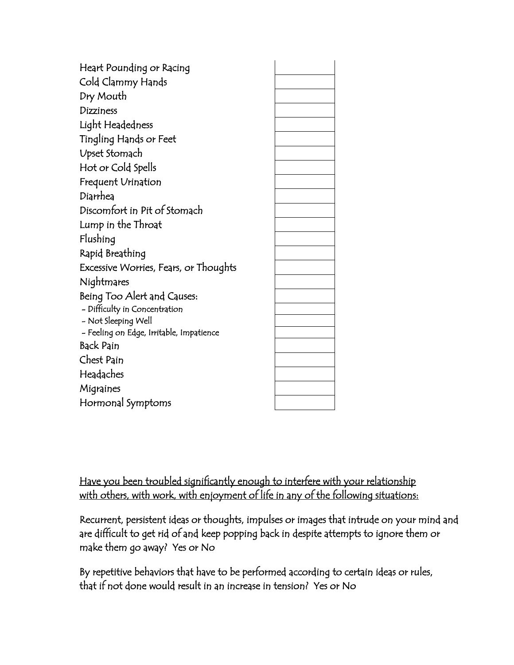| Heart Pounding or Racing                 |  |
|------------------------------------------|--|
| Cold Clammy Hands                        |  |
| Dry Mouth                                |  |
| <b>Dizziness</b>                         |  |
| Light Headedness                         |  |
| Tingling Hands or Feet                   |  |
| Upset Stomach                            |  |
| Hot or Cold Spells                       |  |
| Frequent Urination                       |  |
| Diarrhea                                 |  |
| Discomfort in Pit of Stomach             |  |
| Lump in the Throat                       |  |
| Flushing                                 |  |
| Rapid Breathing                          |  |
| Excessive Worries, Fears, or Thoughts    |  |
| Nightmares                               |  |
| Being Too Alert and Causes:              |  |
| - Difficulty in Concentration            |  |
| - Not Sleeping Well                      |  |
| – Feeling on Edge, Irritable, Impatience |  |
| <b>Back Pain</b>                         |  |
| Chest Pain                               |  |
| Headaches                                |  |
| Migraines                                |  |
| Hormonal Symptoms                        |  |

Have you been troubled significantly enough to interfere with your relationship with others, with work, with enjoyment of life in any of the following situations:

Recurrent, persistent ideas or thoughts, impulses or images that intrude on your mind and are difficult to get rid of and keep popping back in despite attempts to ignore them or make them go away? Yes or No

By repetitive behaviors that have to be performed according to certain ideas or rules, that if not done would result in an increase in tension? Yes or No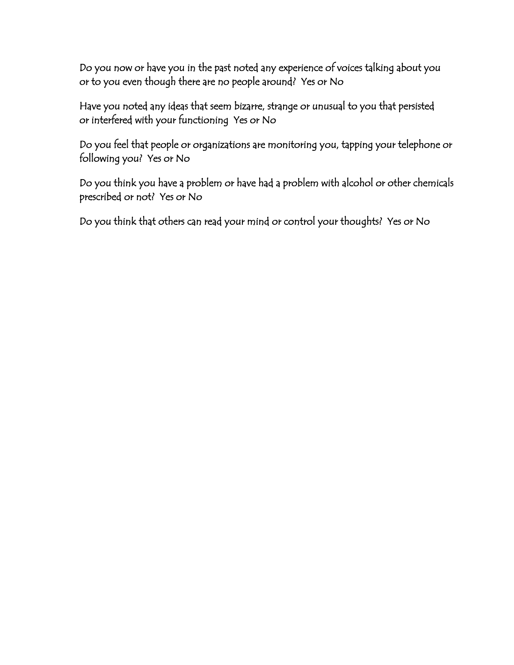Do you now or have you in the past noted any experience of voices talking about you or to you even though there are no people around? Yes or No

Have you noted any ideas that seem bizarre, strange or unusual to you that persisted or interfered with your functioning Yes or No

Do you feel that people or organizations are monitoring you, tapping your telephone or following you? Yes or No

Do you think you have a problem or have had a problem with alcohol or other chemicals prescribed or not? Yes or No

Do you think that others can read your mind or control your thoughts? Yes or No